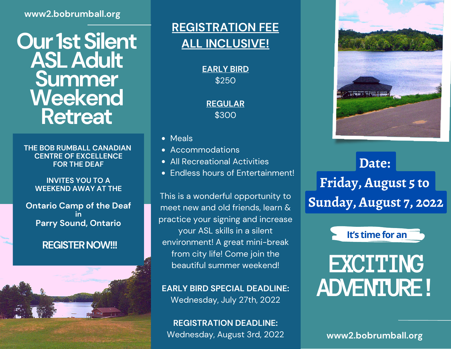#### **www2.bobrumball.org**

## **Our 1st Silent ASLAdult Summer Weekend Retreat**

**THE BOB RUMBALL CANADIAN CENTRE OF EXCELLENCE FOR THE DEAF**

#### **INVITES YOU TO A WEEKEND AWAY AT THE**

**Ontario Camp of the Deaf in Parry Sound, Ontario**

#### **REGISTER NOW!!!**



#### **REGISTRATION FEE ALL INCLUSIVE!**

**EARLY BIRD** \$250

**REGULAR** \$300

- Meals
- Accommodations
- All Recreational Activities
- Fndless hours of Entertainment!

This is a wonderful opportunity to meet new and old friends, learn & practice your signing and increase your ASL skills in a silent environment! A great mini-break from city life! Come join the beautiful summer weekend!

**EARLY BIRD SPECIAL DEADLINE:** Wednesday, July 27th, 2022

**REGISTRATION DEADLINE:** Wednesday, August 3rd, 2022 **www2.bobrumball.org**



### **Date: Friday, August 5 to Sunday, August 7, 2022**



# **EXCITING ADVENTURE!**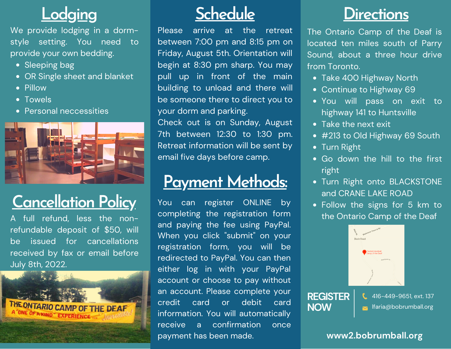# **Lodging**

We provide lodging in a dormstyle setting. You need to provide your own bedding.

- Sleeping bag
- OR Single sheet and blanket
- Pillow
- Towels
- Personal neccessities



# **Cancellation Policy**

A full refund, less the nonrefundable deposit of \$50, will be issued for cancellations received by fax or email before July 8th, 2022.



## **Schedule**

Please arrive at the retreat between 7:00 pm and 8:15 pm on Friday, August 5th. Orientation will begin at 8:30 pm sharp. You may pull up in front of the main building to unload and there will be someone there to direct you to your dorm and parking.

Check out is on Sunday, August 7th between 12:30 to 1:30 pm. Retreat information will be sent by email five days before camp.

### **Payment Methods:**

You can register ONLINE by completing the registration form and paying the fee using PayPal. When you click "submit" on your registration form, you will be redirected to PayPal. You can then either log in with your PayPal account or choose to pay without an account. Please complete your credit card or debit card information. You will automatically receive a confirmation once payment has been made.

### **Directions**

The Ontario Camp of the Deaf is located ten miles south of Parry Sound, about a three hour drive from Toronto.

- Take 400 Highway North
- Continue to Highway 69
- You will pass on exit to highway 141 to Huntsville
- Take the next exit
- #213 to Old Highway 69 South
- Turn Right
- Go down the hill to the first right
- Turn Right onto BLACKSTONE and CRANE LAKE ROAD
- Follow the signs for 5 km to the Ontario Camp of the Deaf



**REGISTER NOW**

416-449-9651, ext. 137 **Ifaria@bobrumball.org** 

#### **www2.bobrumball.org**